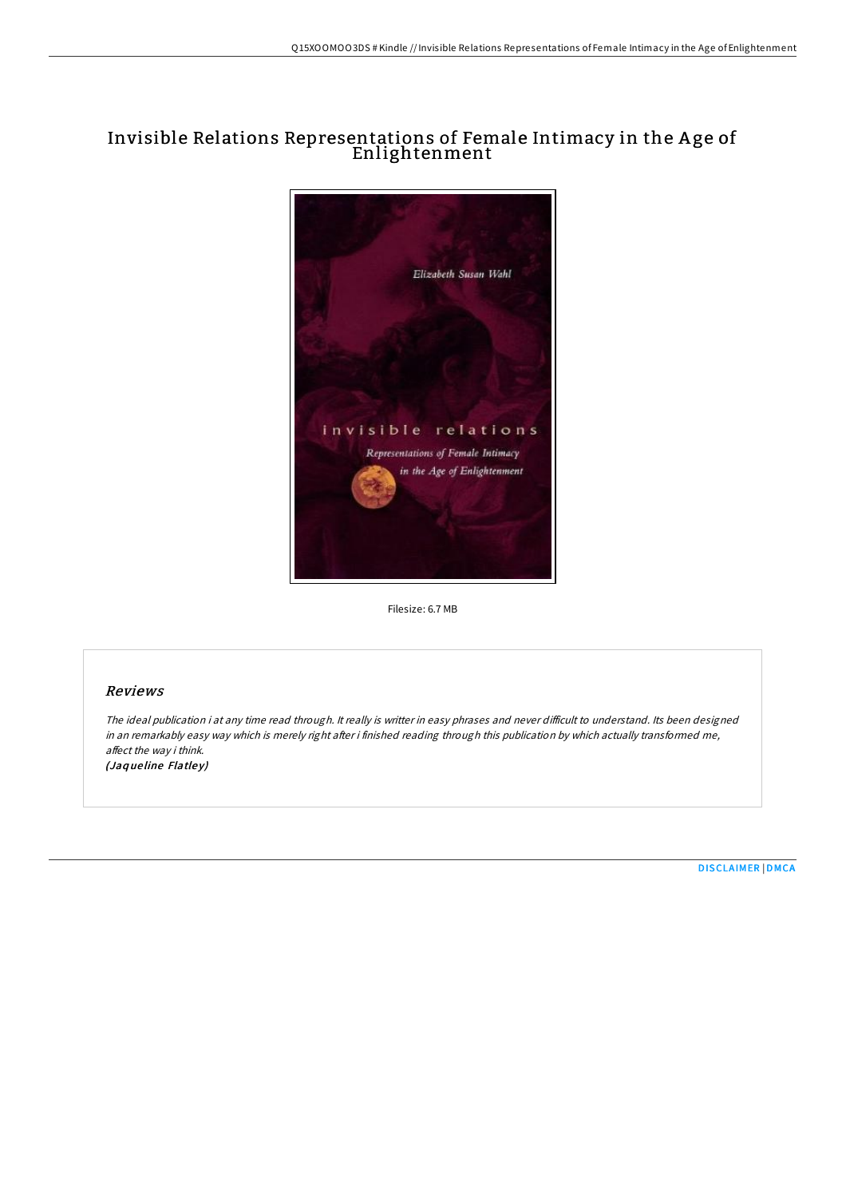# Invisible Relations Representations of Female Intimacy in the A ge of Enlightenment



Filesize: 6.7 MB

## Reviews

The ideal publication i at any time read through. It really is writter in easy phrases and never difficult to understand. Its been designed in an remarkably easy way which is merely right after i finished reading through this publication by which actually transformed me, affect the way i think. (Jaqueline Flatley)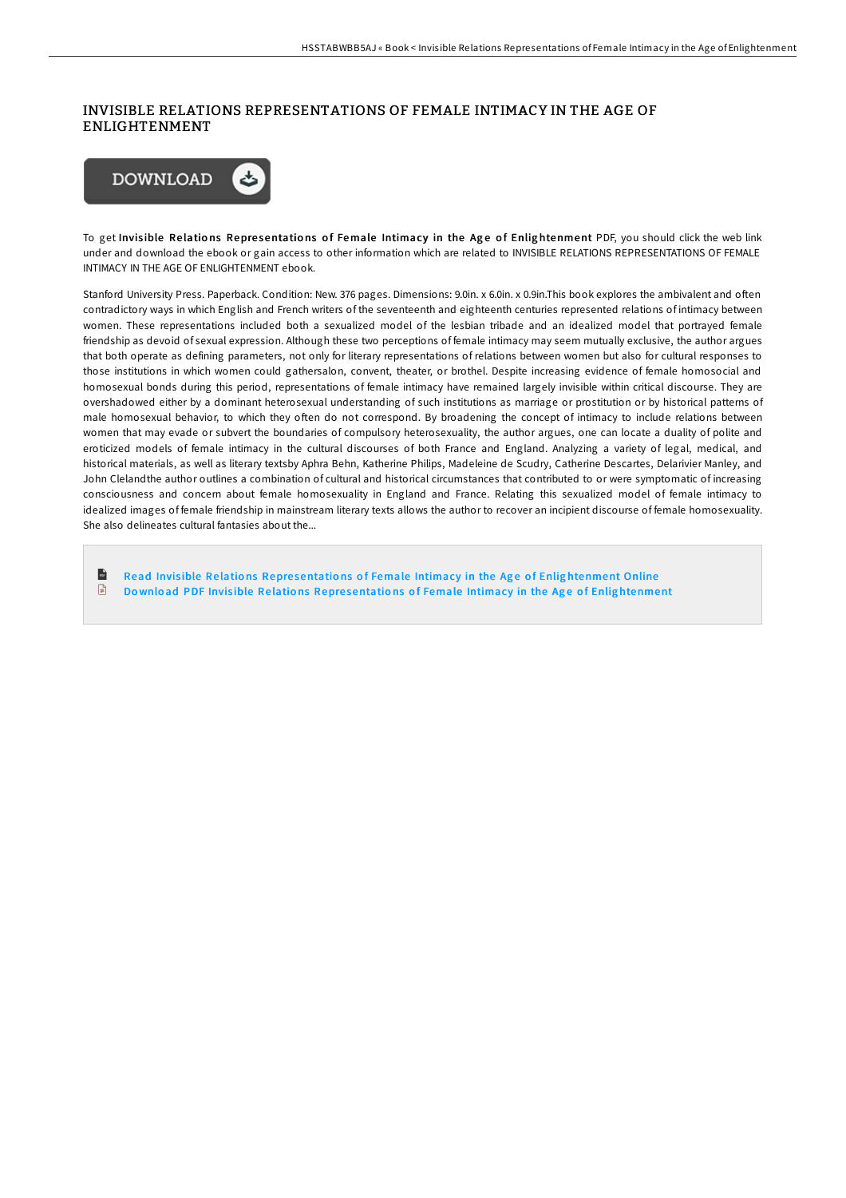### INVISIBLE RELATIONS REPRESENTATIONS OF FEMALE INTIMACY IN THE AGE OF ENLIGHTENMENT



To get Invisible Relations Representations of Female Intimacy in the Age of Enlightenment PDF, you should click the web link under and download the ebook or gain access to other information which are related to INVISIBLE RELATIONS REPRESENTATIONS OF FEMALE INTIMACY IN THE AGE OF ENLIGHTENMENT ebook.

Stanford University Press. Paperback. Condition: New. 376 pages. Dimensions: 9.0in. x 6.0in. x 0.9in. This book explores the ambivalent and often contradictory ways in which English and French writers of the seventeenth and eighteenth centuries represented relations of intimacy between women. These representations included both a sexualized model of the lesbian tribade and an idealized model that portrayed female friendship as devoid of sexual expression. Although these two perceptions of female intimacy may seem mutually exclusive, the author argues that both operate as defining parameters, not only for literary representations of relations between women but also for cultural responses to those institutions in which women could gathersalon, convent, theater, or brothel. Despite increasing evidence of female homosocial and homosexual bonds during this period, representations of female intimacy have remained largely invisible within critical discourse. They are overshadowed either by a dominant heterosexual understanding of such institutions as marriage or prostitution or by historical patterns of male homosexual behavior, to which they often do not correspond. By broadening the concept of intimacy to include relations between women that may evade or subvert the boundaries of compulsory heterosexuality, the author argues, one can locate a duality of polite and eroticized models of female intimacy in the cultural discourses of both France and England. Analyzing a variety of legal, medical, and historical materials, as well as literary textsby Aphra Behn, Katherine Philips, Madeleine de Scudry, Catherine Descartes, Delarivier Manley, and John Clelandthe author outlines a combination of cultural and historical circumstances that contributed to or were symptomatic of increasing consciousness and concern about female homosexuality in England and France. Relating this sexualized model of female intimacy to idealized images of female friendship in mainstream literary texts allows the author to recover an incipient discourse of female homosexuality. She also delineates cultural fantasies about the...

 $\mathbf{r}$ Read Invisible Relations Representations of Female Intimacy in the Age of Enlig[htenment](http://almighty24.tech/invisible-relations-representations-of-female-in.html) Online  $\Box$ Download PDF Invisible Relations Representations of Female Intimacy in the Age of Enlig[htenment](http://almighty24.tech/invisible-relations-representations-of-female-in.html)